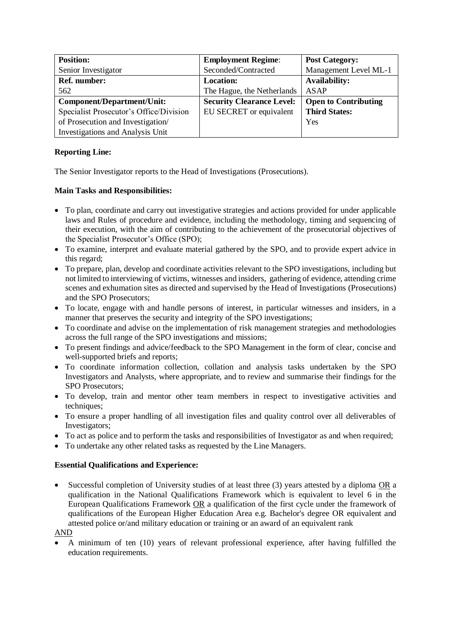| <b>Position:</b>                        | <b>Employment Regime:</b>        | <b>Post Category:</b>       |
|-----------------------------------------|----------------------------------|-----------------------------|
| Senior Investigator                     | Seconded/Contracted              | Management Level ML-1       |
| Ref. number:                            | <b>Location:</b>                 | <b>Availability:</b>        |
| 562                                     | The Hague, the Netherlands       | <b>ASAP</b>                 |
| <b>Component/Department/Unit:</b>       | <b>Security Clearance Level:</b> | <b>Open to Contributing</b> |
| Specialist Prosecutor's Office/Division | EU SECRET or equivalent          | <b>Third States:</b>        |
| of Prosecution and Investigation/       |                                  | Yes                         |
| <b>Investigations and Analysis Unit</b> |                                  |                             |

## **Reporting Line:**

The Senior Investigator reports to the Head of Investigations (Prosecutions).

## **Main Tasks and Responsibilities:**

- To plan, coordinate and carry out investigative strategies and actions provided for under applicable laws and Rules of procedure and evidence, including the methodology, timing and sequencing of their execution, with the aim of contributing to the achievement of the prosecutorial objectives of the Specialist Prosecutor's Office (SPO);
- To examine, interpret and evaluate material gathered by the SPO, and to provide expert advice in this regard;
- To prepare, plan, develop and coordinate activities relevant to the SPO investigations, including but not limited to interviewing of victims, witnesses and insiders, gathering of evidence, attending crime scenes and exhumation sites as directed and supervised by the Head of Investigations (Prosecutions) and the SPO Prosecutors;
- To locate, engage with and handle persons of interest, in particular witnesses and insiders, in a manner that preserves the security and integrity of the SPO investigations;
- To coordinate and advise on the implementation of risk management strategies and methodologies across the full range of the SPO investigations and missions;
- To present findings and advice/feedback to the SPO Management in the form of clear, concise and well-supported briefs and reports;
- To coordinate information collection, collation and analysis tasks undertaken by the SPO Investigators and Analysts, where appropriate, and to review and summarise their findings for the SPO Prosecutors;
- To develop, train and mentor other team members in respect to investigative activities and techniques;
- To ensure a proper handling of all investigation files and quality control over all deliverables of Investigators;
- To act as police and to perform the tasks and responsibilities of Investigator as and when required;
- To undertake any other related tasks as requested by the Line Managers.

## **Essential Qualifications and Experience:**

Successful completion of University studies of at least three (3) years attested by a diploma OR a qualification in the National Qualifications Framework which is equivalent to level 6 in the European Qualifications Framework OR a qualification of the first cycle under the framework of qualifications of the European Higher Education Area e.g. Bachelor's degree OR equivalent and attested police or/and military education or training or an award of an equivalent rank

AND

• A minimum of ten (10) years of relevant professional experience, after having fulfilled the education requirements.